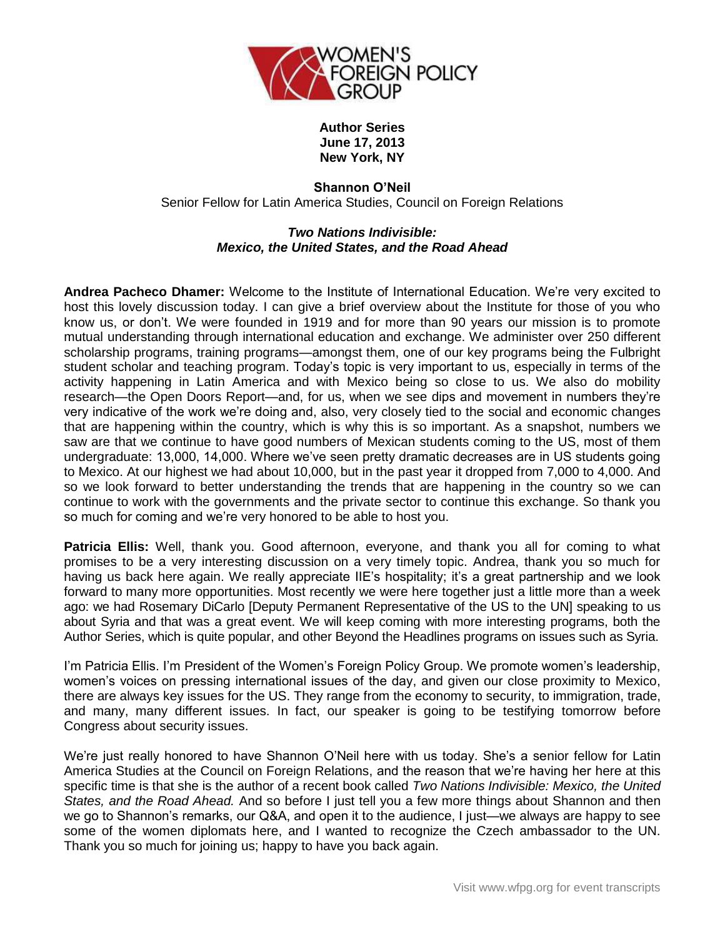

## **Author Series June 17, 2013 New York, NY**

**Shannon O'Neil** Senior Fellow for Latin America Studies, Council on Foreign Relations

## *Two Nations Indivisible: Mexico, the United States, and the Road Ahead*

**Andrea Pacheco Dhamer:** Welcome to the Institute of International Education. We're very excited to host this lovely discussion today. I can give a brief overview about the Institute for those of you who know us, or don't. We were founded in 1919 and for more than 90 years our mission is to promote mutual understanding through international education and exchange. We administer over 250 different scholarship programs, training programs—amongst them, one of our key programs being the Fulbright student scholar and teaching program. Today's topic is very important to us, especially in terms of the activity happening in Latin America and with Mexico being so close to us. We also do mobility research—the Open Doors Report—and, for us, when we see dips and movement in numbers they're very indicative of the work we're doing and, also, very closely tied to the social and economic changes that are happening within the country, which is why this is so important. As a snapshot, numbers we saw are that we continue to have good numbers of Mexican students coming to the US, most of them undergraduate: 13,000, 14,000. Where we've seen pretty dramatic decreases are in US students going to Mexico. At our highest we had about 10,000, but in the past year it dropped from 7,000 to 4,000. And so we look forward to better understanding the trends that are happening in the country so we can continue to work with the governments and the private sector to continue this exchange. So thank you so much for coming and we're very honored to be able to host you.

Patricia Ellis: Well, thank you. Good afternoon, everyone, and thank you all for coming to what promises to be a very interesting discussion on a very timely topic. Andrea, thank you so much for having us back here again. We really appreciate IIE's hospitality; it's a great partnership and we look forward to many more opportunities. Most recently we were here together just a little more than a week ago: we had Rosemary DiCarlo [Deputy Permanent Representative of the US to the UN] speaking to us about Syria and that was a great event. We will keep coming with more interesting programs, both the Author Series, which is quite popular, and other Beyond the Headlines programs on issues such as Syria.

I'm Patricia Ellis. I'm President of the Women's Foreign Policy Group. We promote women's leadership, women's voices on pressing international issues of the day, and given our close proximity to Mexico, there are always key issues for the US. They range from the economy to security, to immigration, trade, and many, many different issues. In fact, our speaker is going to be testifying tomorrow before Congress about security issues.

We're just really honored to have Shannon O'Neil here with us today. She's a senior fellow for Latin America Studies at the Council on Foreign Relations, and the reason that we're having her here at this specific time is that she is the author of a recent book called *Two Nations Indivisible: Mexico, the United States, and the Road Ahead.* And so before I just tell you a few more things about Shannon and then we go to Shannon's remarks, our Q&A, and open it to the audience, I just—we always are happy to see some of the women diplomats here, and I wanted to recognize the Czech ambassador to the UN. Thank you so much for joining us; happy to have you back again.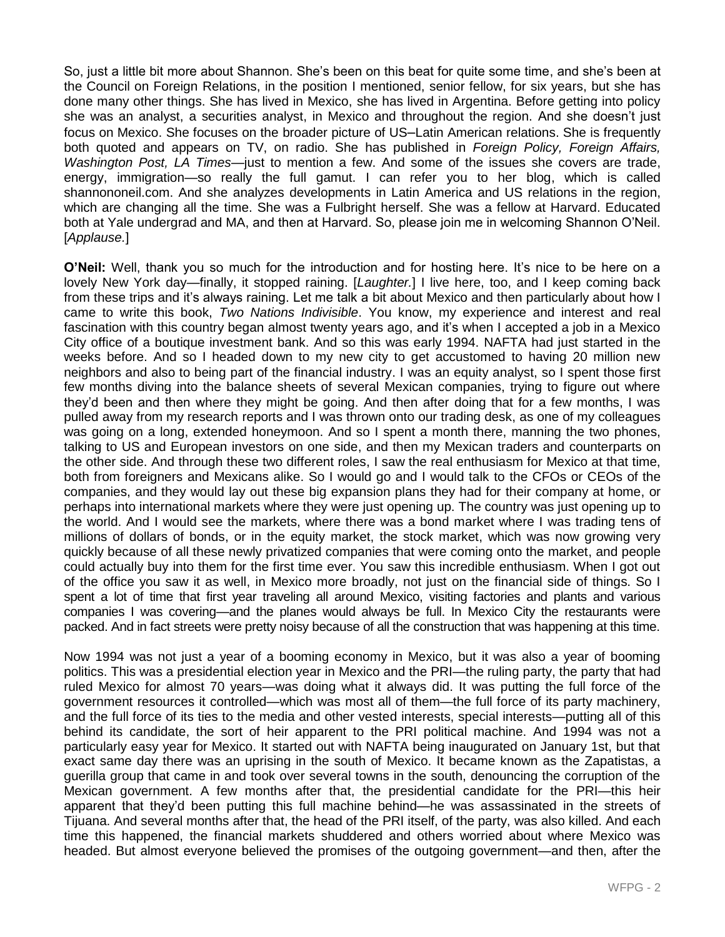So, just a little bit more about Shannon. She's been on this beat for quite some time, and she's been at the Council on Foreign Relations, in the position I mentioned, senior fellow, for six years, but she has done many other things. She has lived in Mexico, she has lived in Argentina. Before getting into policy she was an analyst, a securities analyst, in Mexico and throughout the region. And she doesn't just focus on Mexico. She focuses on the broader picture of US–Latin American relations. She is frequently both quoted and appears on TV, on radio. She has published in *Foreign Policy, Foreign Affairs, Washington Post, LA Times*—just to mention a few. And some of the issues she covers are trade, energy, immigration—so really the full gamut. I can refer you to her blog, which is called shannononeil.com. And she analyzes developments in Latin America and US relations in the region, which are changing all the time. She was a Fulbright herself. She was a fellow at Harvard. Educated both at Yale undergrad and MA, and then at Harvard. So, please join me in welcoming Shannon O'Neil. [*Applause.*]

**O'Neil:** Well, thank you so much for the introduction and for hosting here. It's nice to be here on a lovely New York day—finally, it stopped raining. [*Laughter.*] I live here, too, and I keep coming back from these trips and it's always raining. Let me talk a bit about Mexico and then particularly about how I came to write this book, *Two Nations Indivisible*. You know, my experience and interest and real fascination with this country began almost twenty years ago, and it's when I accepted a job in a Mexico City office of a boutique investment bank. And so this was early 1994. NAFTA had just started in the weeks before. And so I headed down to my new city to get accustomed to having 20 million new neighbors and also to being part of the financial industry. I was an equity analyst, so I spent those first few months diving into the balance sheets of several Mexican companies, trying to figure out where they'd been and then where they might be going. And then after doing that for a few months, I was pulled away from my research reports and I was thrown onto our trading desk, as one of my colleagues was going on a long, extended honeymoon. And so I spent a month there, manning the two phones, talking to US and European investors on one side, and then my Mexican traders and counterparts on the other side. And through these two different roles, I saw the real enthusiasm for Mexico at that time, both from foreigners and Mexicans alike. So I would go and I would talk to the CFOs or CEOs of the companies, and they would lay out these big expansion plans they had for their company at home, or perhaps into international markets where they were just opening up. The country was just opening up to the world. And I would see the markets, where there was a bond market where I was trading tens of millions of dollars of bonds, or in the equity market, the stock market, which was now growing very quickly because of all these newly privatized companies that were coming onto the market, and people could actually buy into them for the first time ever. You saw this incredible enthusiasm. When I got out of the office you saw it as well, in Mexico more broadly, not just on the financial side of things. So I spent a lot of time that first year traveling all around Mexico, visiting factories and plants and various companies I was covering—and the planes would always be full. In Mexico City the restaurants were packed. And in fact streets were pretty noisy because of all the construction that was happening at this time.

Now 1994 was not just a year of a booming economy in Mexico, but it was also a year of booming politics. This was a presidential election year in Mexico and the PRI—the ruling party, the party that had ruled Mexico for almost 70 years—was doing what it always did. It was putting the full force of the government resources it controlled—which was most all of them—the full force of its party machinery, and the full force of its ties to the media and other vested interests, special interests—putting all of this behind its candidate, the sort of heir apparent to the PRI political machine. And 1994 was not a particularly easy year for Mexico. It started out with NAFTA being inaugurated on January 1st, but that exact same day there was an uprising in the south of Mexico. It became known as the Zapatistas, a guerilla group that came in and took over several towns in the south, denouncing the corruption of the Mexican government. A few months after that, the presidential candidate for the PRI—this heir apparent that they'd been putting this full machine behind—he was assassinated in the streets of Tijuana. And several months after that, the head of the PRI itself, of the party, was also killed. And each time this happened, the financial markets shuddered and others worried about where Mexico was headed. But almost everyone believed the promises of the outgoing government—and then, after the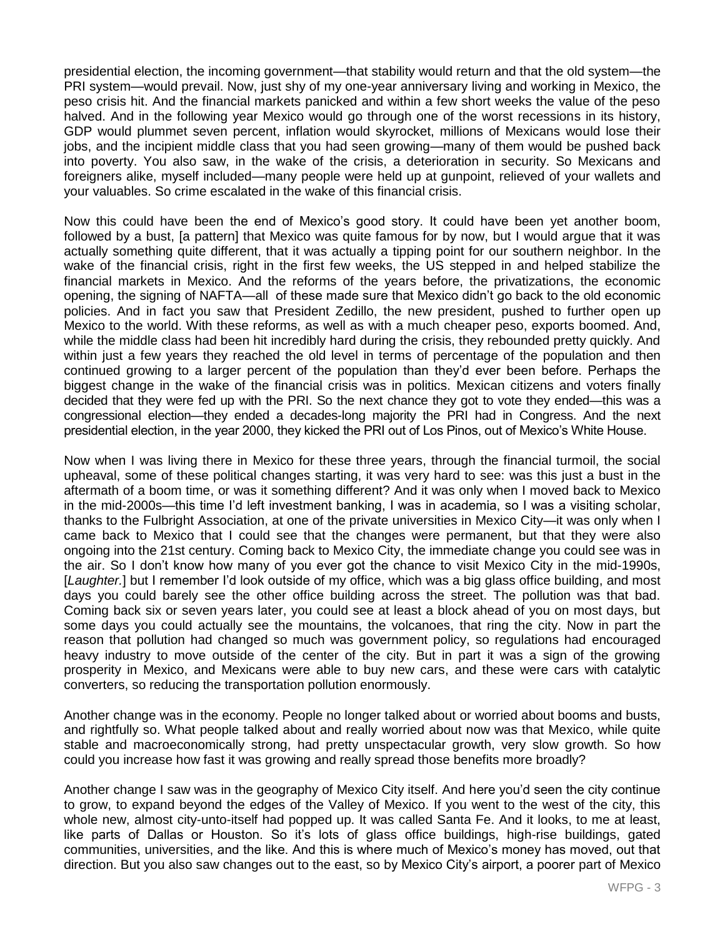presidential election, the incoming government—that stability would return and that the old system—the PRI system—would prevail. Now, just shy of my one-year anniversary living and working in Mexico, the peso crisis hit. And the financial markets panicked and within a few short weeks the value of the peso halved. And in the following year Mexico would go through one of the worst recessions in its history, GDP would plummet seven percent, inflation would skyrocket, millions of Mexicans would lose their jobs, and the incipient middle class that you had seen growing—many of them would be pushed back into poverty. You also saw, in the wake of the crisis, a deterioration in security. So Mexicans and foreigners alike, myself included—many people were held up at gunpoint, relieved of your wallets and your valuables. So crime escalated in the wake of this financial crisis.

Now this could have been the end of Mexico's good story. It could have been yet another boom, followed by a bust, [a pattern] that Mexico was quite famous for by now, but I would argue that it was actually something quite different, that it was actually a tipping point for our southern neighbor. In the wake of the financial crisis, right in the first few weeks, the US stepped in and helped stabilize the financial markets in Mexico. And the reforms of the years before, the privatizations, the economic opening, the signing of NAFTA—all of these made sure that Mexico didn't go back to the old economic policies. And in fact you saw that President Zedillo, the new president, pushed to further open up Mexico to the world. With these reforms, as well as with a much cheaper peso, exports boomed. And, while the middle class had been hit incredibly hard during the crisis, they rebounded pretty quickly. And within just a few years they reached the old level in terms of percentage of the population and then continued growing to a larger percent of the population than they'd ever been before. Perhaps the biggest change in the wake of the financial crisis was in politics. Mexican citizens and voters finally decided that they were fed up with the PRI. So the next chance they got to vote they ended—this was a congressional election—they ended a decades-long majority the PRI had in Congress. And the next presidential election, in the year 2000, they kicked the PRI out of Los Pinos, out of Mexico's White House.

Now when I was living there in Mexico for these three years, through the financial turmoil, the social upheaval, some of these political changes starting, it was very hard to see: was this just a bust in the aftermath of a boom time, or was it something different? And it was only when I moved back to Mexico in the mid-2000s—this time I'd left investment banking, I was in academia, so I was a visiting scholar, thanks to the Fulbright Association, at one of the private universities in Mexico City—it was only when I came back to Mexico that I could see that the changes were permanent, but that they were also ongoing into the 21st century. Coming back to Mexico City, the immediate change you could see was in the air. So I don't know how many of you ever got the chance to visit Mexico City in the mid-1990s, [*Laughter.*] but I remember I'd look outside of my office, which was a big glass office building, and most days you could barely see the other office building across the street. The pollution was that bad. Coming back six or seven years later, you could see at least a block ahead of you on most days, but some days you could actually see the mountains, the volcanoes, that ring the city. Now in part the reason that pollution had changed so much was government policy, so regulations had encouraged heavy industry to move outside of the center of the city. But in part it was a sign of the growing prosperity in Mexico, and Mexicans were able to buy new cars, and these were cars with catalytic converters, so reducing the transportation pollution enormously.

Another change was in the economy. People no longer talked about or worried about booms and busts, and rightfully so. What people talked about and really worried about now was that Mexico, while quite stable and macroeconomically strong, had pretty unspectacular growth, very slow growth. So how could you increase how fast it was growing and really spread those benefits more broadly?

Another change I saw was in the geography of Mexico City itself. And here you'd seen the city continue to grow, to expand beyond the edges of the Valley of Mexico. If you went to the west of the city, this whole new, almost city-unto-itself had popped up. It was called Santa Fe. And it looks, to me at least, like parts of Dallas or Houston. So it's lots of glass office buildings, high-rise buildings, gated communities, universities, and the like. And this is where much of Mexico's money has moved, out that direction. But you also saw changes out to the east, so by Mexico City's airport, a poorer part of Mexico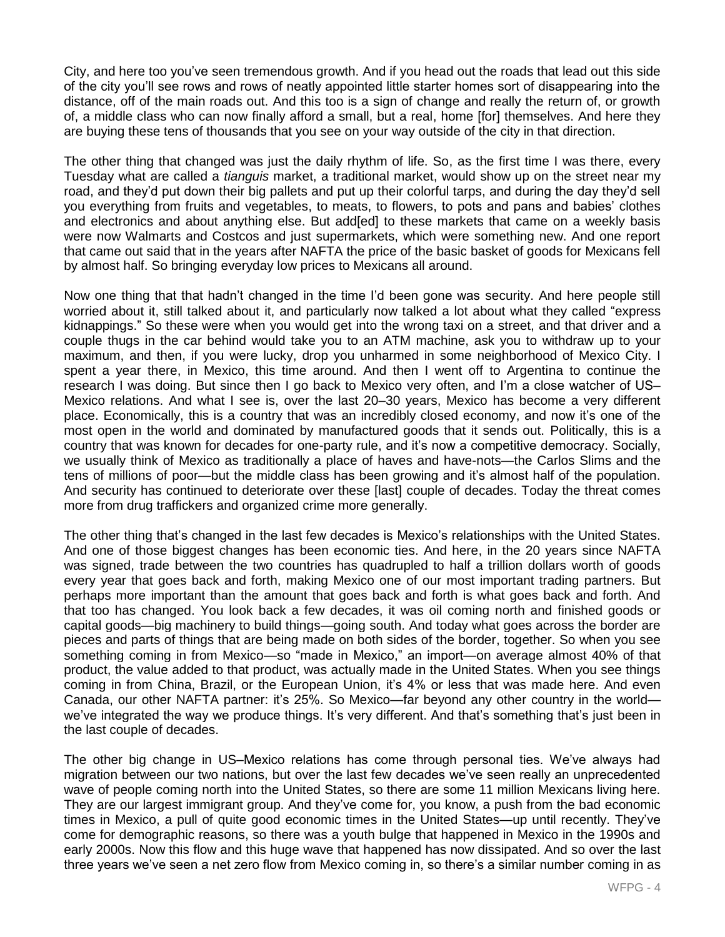City, and here too you've seen tremendous growth. And if you head out the roads that lead out this side of the city you'll see rows and rows of neatly appointed little starter homes sort of disappearing into the distance, off of the main roads out. And this too is a sign of change and really the return of, or growth of, a middle class who can now finally afford a small, but a real, home [for] themselves. And here they are buying these tens of thousands that you see on your way outside of the city in that direction.

The other thing that changed was just the daily rhythm of life. So, as the first time I was there, every Tuesday what are called a *tianguis* market, a traditional market, would show up on the street near my road, and they'd put down their big pallets and put up their colorful tarps, and during the day they'd sell you everything from fruits and vegetables, to meats, to flowers, to pots and pans and babies' clothes and electronics and about anything else. But add[ed] to these markets that came on a weekly basis were now Walmarts and Costcos and just supermarkets, which were something new. And one report that came out said that in the years after NAFTA the price of the basic basket of goods for Mexicans fell by almost half. So bringing everyday low prices to Mexicans all around.

Now one thing that that hadn't changed in the time I'd been gone was security. And here people still worried about it, still talked about it, and particularly now talked a lot about what they called "express kidnappings." So these were when you would get into the wrong taxi on a street, and that driver and a couple thugs in the car behind would take you to an ATM machine, ask you to withdraw up to your maximum, and then, if you were lucky, drop you unharmed in some neighborhood of Mexico City. I spent a year there, in Mexico, this time around. And then I went off to Argentina to continue the research I was doing. But since then I go back to Mexico very often, and I'm a close watcher of US– Mexico relations. And what I see is, over the last 20–30 years, Mexico has become a very different place. Economically, this is a country that was an incredibly closed economy, and now it's one of the most open in the world and dominated by manufactured goods that it sends out. Politically, this is a country that was known for decades for one-party rule, and it's now a competitive democracy. Socially, we usually think of Mexico as traditionally a place of haves and have-nots—the Carlos Slims and the tens of millions of poor—but the middle class has been growing and it's almost half of the population. And security has continued to deteriorate over these [last] couple of decades. Today the threat comes more from drug traffickers and organized crime more generally.

The other thing that's changed in the last few decades is Mexico's relationships with the United States. And one of those biggest changes has been economic ties. And here, in the 20 years since NAFTA was signed, trade between the two countries has quadrupled to half a trillion dollars worth of goods every year that goes back and forth, making Mexico one of our most important trading partners. But perhaps more important than the amount that goes back and forth is what goes back and forth. And that too has changed. You look back a few decades, it was oil coming north and finished goods or capital goods—big machinery to build things—going south. And today what goes across the border are pieces and parts of things that are being made on both sides of the border, together. So when you see something coming in from Mexico—so "made in Mexico," an import—on average almost 40% of that product, the value added to that product, was actually made in the United States. When you see things coming in from China, Brazil, or the European Union, it's 4% or less that was made here. And even Canada, our other NAFTA partner: it's 25%. So Mexico—far beyond any other country in the world we've integrated the way we produce things. It's very different. And that's something that's just been in the last couple of decades.

The other big change in US–Mexico relations has come through personal ties. We've always had migration between our two nations, but over the last few decades we've seen really an unprecedented wave of people coming north into the United States, so there are some 11 million Mexicans living here. They are our largest immigrant group. And they've come for, you know, a push from the bad economic times in Mexico, a pull of quite good economic times in the United States—up until recently. They've come for demographic reasons, so there was a youth bulge that happened in Mexico in the 1990s and early 2000s. Now this flow and this huge wave that happened has now dissipated. And so over the last three years we've seen a net zero flow from Mexico coming in, so there's a similar number coming in as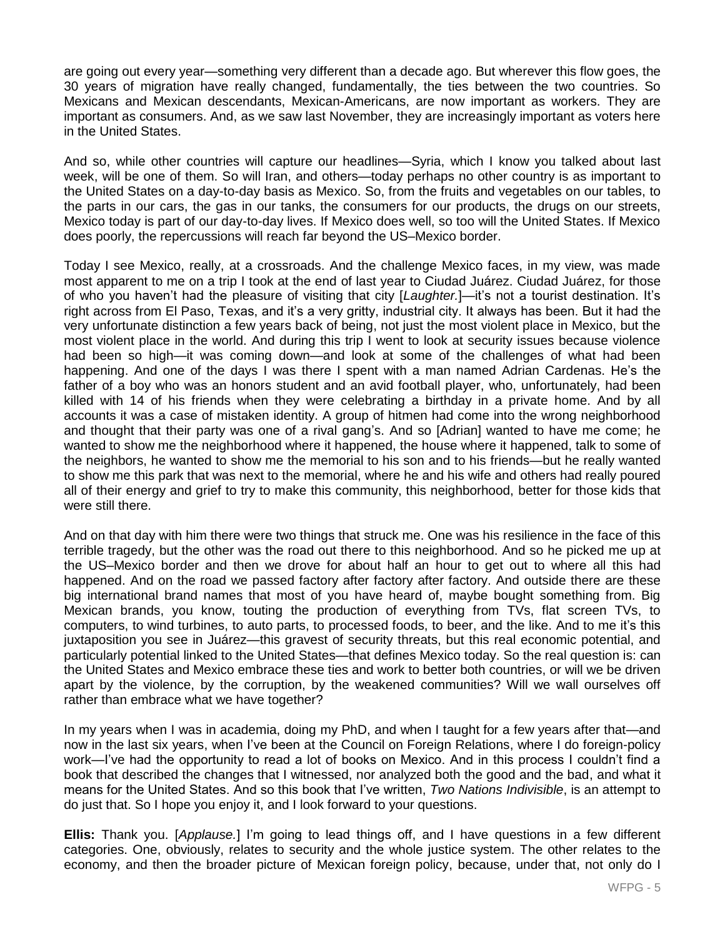are going out every year—something very different than a decade ago. But wherever this flow goes, the 30 years of migration have really changed, fundamentally, the ties between the two countries. So Mexicans and Mexican descendants, Mexican-Americans, are now important as workers. They are important as consumers. And, as we saw last November, they are increasingly important as voters here in the United States.

And so, while other countries will capture our headlines—Syria, which I know you talked about last week, will be one of them. So will Iran, and others—today perhaps no other country is as important to the United States on a day-to-day basis as Mexico. So, from the fruits and vegetables on our tables, to the parts in our cars, the gas in our tanks, the consumers for our products, the drugs on our streets, Mexico today is part of our day-to-day lives. If Mexico does well, so too will the United States. If Mexico does poorly, the repercussions will reach far beyond the US–Mexico border.

Today I see Mexico, really, at a crossroads. And the challenge Mexico faces, in my view, was made most apparent to me on a trip I took at the end of last year to Ciudad Juárez. Ciudad Juárez, for those of who you haven't had the pleasure of visiting that city [*Laughter.*]—it's not a tourist destination. It's right across from El Paso, Texas, and it's a very gritty, industrial city. It always has been. But it had the very unfortunate distinction a few years back of being, not just the most violent place in Mexico, but the most violent place in the world. And during this trip I went to look at security issues because violence had been so high—it was coming down—and look at some of the challenges of what had been happening. And one of the days I was there I spent with a man named Adrian Cardenas. He's the father of a boy who was an honors student and an avid football player, who, unfortunately, had been killed with 14 of his friends when they were celebrating a birthday in a private home. And by all accounts it was a case of mistaken identity. A group of hitmen had come into the wrong neighborhood and thought that their party was one of a rival gang's. And so [Adrian] wanted to have me come; he wanted to show me the neighborhood where it happened, the house where it happened, talk to some of the neighbors, he wanted to show me the memorial to his son and to his friends—but he really wanted to show me this park that was next to the memorial, where he and his wife and others had really poured all of their energy and grief to try to make this community, this neighborhood, better for those kids that were still there.

And on that day with him there were two things that struck me. One was his resilience in the face of this terrible tragedy, but the other was the road out there to this neighborhood. And so he picked me up at the US–Mexico border and then we drove for about half an hour to get out to where all this had happened. And on the road we passed factory after factory after factory. And outside there are these big international brand names that most of you have heard of, maybe bought something from. Big Mexican brands, you know, touting the production of everything from TVs, flat screen TVs, to computers, to wind turbines, to auto parts, to processed foods, to beer, and the like. And to me it's this juxtaposition you see in Juárez—this gravest of security threats, but this real economic potential, and particularly potential linked to the United States—that defines Mexico today. So the real question is: can the United States and Mexico embrace these ties and work to better both countries, or will we be driven apart by the violence, by the corruption, by the weakened communities? Will we wall ourselves off rather than embrace what we have together?

In my years when I was in academia, doing my PhD, and when I taught for a few years after that—and now in the last six years, when I've been at the Council on Foreign Relations, where I do foreign-policy work—I've had the opportunity to read a lot of books on Mexico. And in this process I couldn't find a book that described the changes that I witnessed, nor analyzed both the good and the bad, and what it means for the United States. And so this book that I've written, *Two Nations Indivisible*, is an attempt to do just that. So I hope you enjoy it, and I look forward to your questions.

**Ellis:** Thank you. [*Applause.*] I'm going to lead things off, and I have questions in a few different categories. One, obviously, relates to security and the whole justice system. The other relates to the economy, and then the broader picture of Mexican foreign policy, because, under that, not only do I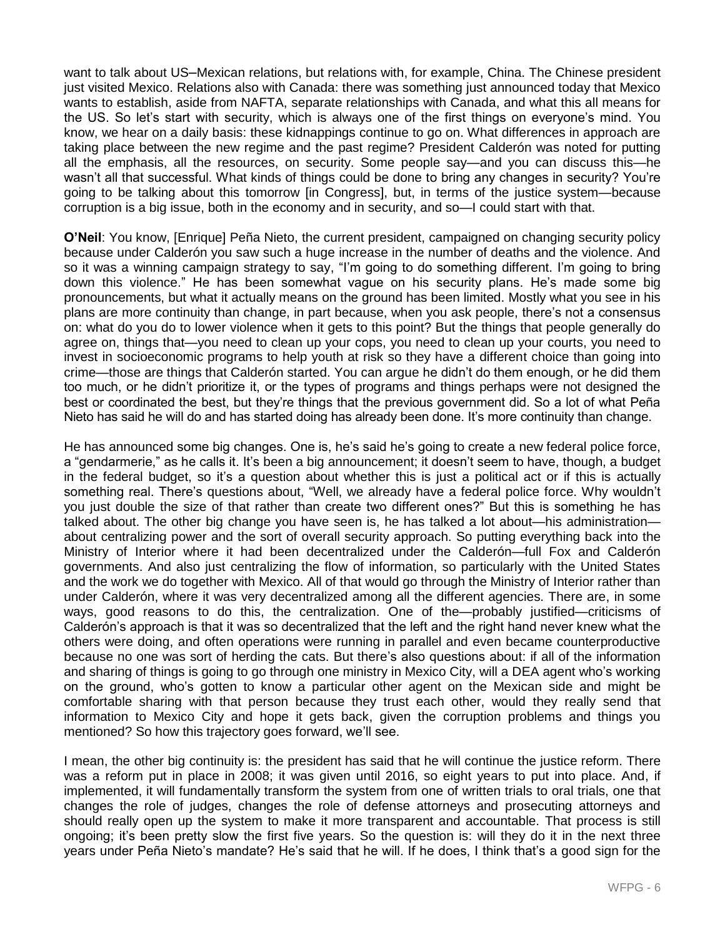want to talk about US–Mexican relations, but relations with, for example, China. The Chinese president just visited Mexico. Relations also with Canada: there was something just announced today that Mexico wants to establish, aside from NAFTA, separate relationships with Canada, and what this all means for the US. So let's start with security, which is always one of the first things on everyone's mind. You know, we hear on a daily basis: these kidnappings continue to go on. What differences in approach are taking place between the new regime and the past regime? President Calderón was noted for putting all the emphasis, all the resources, on security. Some people say—and you can discuss this—he wasn't all that successful. What kinds of things could be done to bring any changes in security? You're going to be talking about this tomorrow [in Congress], but, in terms of the justice system—because corruption is a big issue, both in the economy and in security, and so—I could start with that.

**O'Neil**: You know, [Enrique] Peña Nieto, the current president, campaigned on changing security policy because under Calderón you saw such a huge increase in the number of deaths and the violence. And so it was a winning campaign strategy to say, "I'm going to do something different. I'm going to bring down this violence." He has been somewhat vague on his security plans. He's made some big pronouncements, but what it actually means on the ground has been limited. Mostly what you see in his plans are more continuity than change, in part because, when you ask people, there's not a consensus on: what do you do to lower violence when it gets to this point? But the things that people generally do agree on, things that—you need to clean up your cops, you need to clean up your courts, you need to invest in socioeconomic programs to help youth at risk so they have a different choice than going into crime—those are things that Calderón started. You can argue he didn't do them enough, or he did them too much, or he didn't prioritize it, or the types of programs and things perhaps were not designed the best or coordinated the best, but they're things that the previous government did. So a lot of what Peña Nieto has said he will do and has started doing has already been done. It's more continuity than change.

He has announced some big changes. One is, he's said he's going to create a new federal police force, a "gendarmerie," as he calls it. It's been a big announcement; it doesn't seem to have, though, a budget in the federal budget, so it's a question about whether this is just a political act or if this is actually something real. There's questions about, "Well, we already have a federal police force. Why wouldn't you just double the size of that rather than create two different ones?" But this is something he has talked about. The other big change you have seen is, he has talked a lot about—his administration about centralizing power and the sort of overall security approach. So putting everything back into the Ministry of Interior where it had been decentralized under the Calderón—full Fox and Calderón governments. And also just centralizing the flow of information, so particularly with the United States and the work we do together with Mexico. All of that would go through the Ministry of Interior rather than under Calderón, where it was very decentralized among all the different agencies. There are, in some ways, good reasons to do this, the centralization. One of the—probably justified—criticisms of Calderón's approach is that it was so decentralized that the left and the right hand never knew what the others were doing, and often operations were running in parallel and even became counterproductive because no one was sort of herding the cats. But there's also questions about: if all of the information and sharing of things is going to go through one ministry in Mexico City, will a DEA agent who's working on the ground, who's gotten to know a particular other agent on the Mexican side and might be comfortable sharing with that person because they trust each other, would they really send that information to Mexico City and hope it gets back, given the corruption problems and things you mentioned? So how this trajectory goes forward, we'll see.

I mean, the other big continuity is: the president has said that he will continue the justice reform. There was a reform put in place in 2008; it was given until 2016, so eight years to put into place. And, if implemented, it will fundamentally transform the system from one of written trials to oral trials, one that changes the role of judges, changes the role of defense attorneys and prosecuting attorneys and should really open up the system to make it more transparent and accountable. That process is still ongoing; it's been pretty slow the first five years. So the question is: will they do it in the next three years under Peña Nieto's mandate? He's said that he will. If he does, I think that's a good sign for the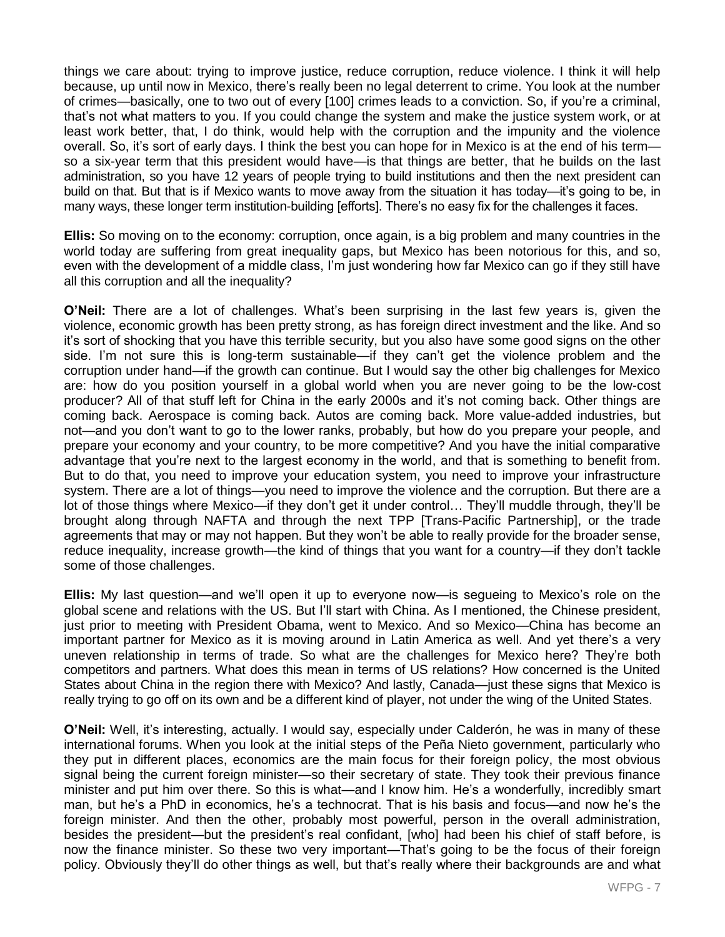things we care about: trying to improve justice, reduce corruption, reduce violence. I think it will help because, up until now in Mexico, there's really been no legal deterrent to crime. You look at the number of crimes—basically, one to two out of every [100] crimes leads to a conviction. So, if you're a criminal, that's not what matters to you. If you could change the system and make the justice system work, or at least work better, that, I do think, would help with the corruption and the impunity and the violence overall. So, it's sort of early days. I think the best you can hope for in Mexico is at the end of his term so a six-year term that this president would have—is that things are better, that he builds on the last administration, so you have 12 years of people trying to build institutions and then the next president can build on that. But that is if Mexico wants to move away from the situation it has today—it's going to be, in many ways, these longer term institution-building [efforts]. There's no easy fix for the challenges it faces.

**Ellis:** So moving on to the economy: corruption, once again, is a big problem and many countries in the world today are suffering from great inequality gaps, but Mexico has been notorious for this, and so, even with the development of a middle class, I'm just wondering how far Mexico can go if they still have all this corruption and all the inequality?

**O'Neil:** There are a lot of challenges. What's been surprising in the last few years is, given the violence, economic growth has been pretty strong, as has foreign direct investment and the like. And so it's sort of shocking that you have this terrible security, but you also have some good signs on the other side. I'm not sure this is long-term sustainable—if they can't get the violence problem and the corruption under hand—if the growth can continue. But I would say the other big challenges for Mexico are: how do you position yourself in a global world when you are never going to be the low-cost producer? All of that stuff left for China in the early 2000s and it's not coming back. Other things are coming back. Aerospace is coming back. Autos are coming back. More value-added industries, but not—and you don't want to go to the lower ranks, probably, but how do you prepare your people, and prepare your economy and your country, to be more competitive? And you have the initial comparative advantage that you're next to the largest economy in the world, and that is something to benefit from. But to do that, you need to improve your education system, you need to improve your infrastructure system. There are a lot of things—you need to improve the violence and the corruption. But there are a lot of those things where Mexico—if they don't get it under control… They'll muddle through, they'll be brought along through NAFTA and through the next TPP [Trans-Pacific Partnership], or the trade agreements that may or may not happen. But they won't be able to really provide for the broader sense, reduce inequality, increase growth—the kind of things that you want for a country—if they don't tackle some of those challenges.

**Ellis:** My last question—and we'll open it up to everyone now—is segueing to Mexico's role on the global scene and relations with the US. But I'll start with China. As I mentioned, the Chinese president, just prior to meeting with President Obama, went to Mexico. And so Mexico—China has become an important partner for Mexico as it is moving around in Latin America as well. And yet there's a very uneven relationship in terms of trade. So what are the challenges for Mexico here? They're both competitors and partners. What does this mean in terms of US relations? How concerned is the United States about China in the region there with Mexico? And lastly, Canada—just these signs that Mexico is really trying to go off on its own and be a different kind of player, not under the wing of the United States.

**O'Neil:** Well, it's interesting, actually. I would say, especially under Calderón, he was in many of these international forums. When you look at the initial steps of the Peña Nieto government, particularly who they put in different places, economics are the main focus for their foreign policy, the most obvious signal being the current foreign minister—so their secretary of state. They took their previous finance minister and put him over there. So this is what—and I know him. He's a wonderfully, incredibly smart man, but he's a PhD in economics, he's a technocrat. That is his basis and focus—and now he's the foreign minister. And then the other, probably most powerful, person in the overall administration, besides the president—but the president's real confidant, [who] had been his chief of staff before, is now the finance minister. So these two very important—That's going to be the focus of their foreign policy. Obviously they'll do other things as well, but that's really where their backgrounds are and what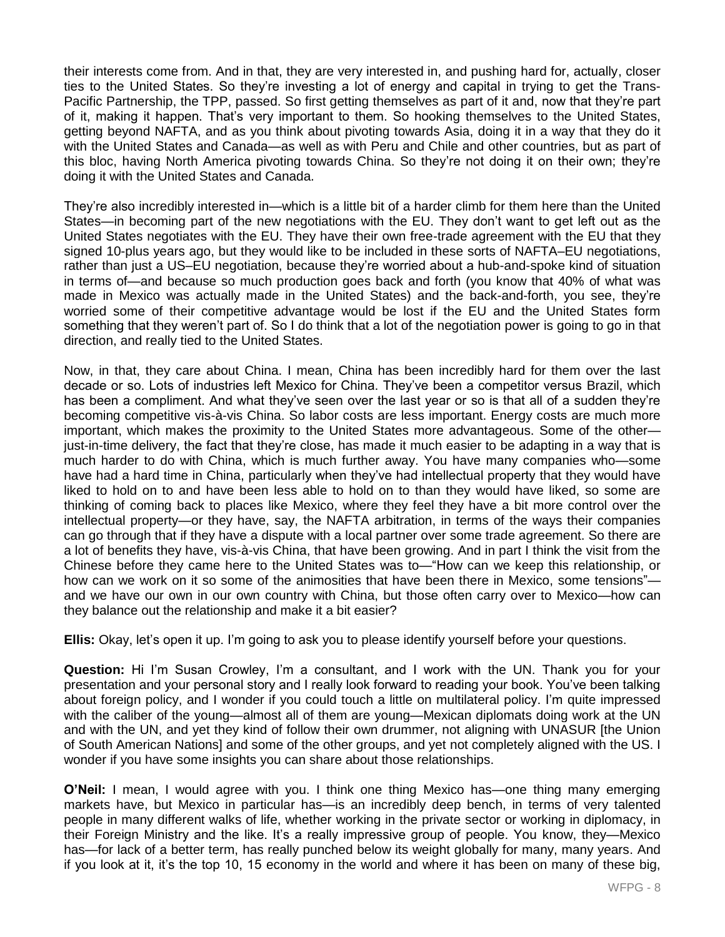their interests come from. And in that, they are very interested in, and pushing hard for, actually, closer ties to the United States. So they're investing a lot of energy and capital in trying to get the Trans-Pacific Partnership, the TPP, passed. So first getting themselves as part of it and, now that they're part of it, making it happen. That's very important to them. So hooking themselves to the United States, getting beyond NAFTA, and as you think about pivoting towards Asia, doing it in a way that they do it with the United States and Canada—as well as with Peru and Chile and other countries, but as part of this bloc, having North America pivoting towards China. So they're not doing it on their own; they're doing it with the United States and Canada.

They're also incredibly interested in—which is a little bit of a harder climb for them here than the United States—in becoming part of the new negotiations with the EU. They don't want to get left out as the United States negotiates with the EU. They have their own free-trade agreement with the EU that they signed 10-plus years ago, but they would like to be included in these sorts of NAFTA–EU negotiations, rather than just a US–EU negotiation, because they're worried about a hub-and-spoke kind of situation in terms of—and because so much production goes back and forth (you know that 40% of what was made in Mexico was actually made in the United States) and the back-and-forth, you see, they're worried some of their competitive advantage would be lost if the EU and the United States form something that they weren't part of. So I do think that a lot of the negotiation power is going to go in that direction, and really tied to the United States.

Now, in that, they care about China. I mean, China has been incredibly hard for them over the last decade or so. Lots of industries left Mexico for China. They've been a competitor versus Brazil, which has been a compliment. And what they've seen over the last year or so is that all of a sudden they're becoming competitive vis-à-vis China. So labor costs are less important. Energy costs are much more important, which makes the proximity to the United States more advantageous. Some of the other just-in-time delivery, the fact that they're close, has made it much easier to be adapting in a way that is much harder to do with China, which is much further away. You have many companies who—some have had a hard time in China, particularly when they've had intellectual property that they would have liked to hold on to and have been less able to hold on to than they would have liked, so some are thinking of coming back to places like Mexico, where they feel they have a bit more control over the intellectual property—or they have, say, the NAFTA arbitration, in terms of the ways their companies can go through that if they have a dispute with a local partner over some trade agreement. So there are a lot of benefits they have, vis-à-vis China, that have been growing. And in part I think the visit from the Chinese before they came here to the United States was to—"How can we keep this relationship, or how can we work on it so some of the animosities that have been there in Mexico, some tensions" and we have our own in our own country with China, but those often carry over to Mexico—how can they balance out the relationship and make it a bit easier?

**Ellis:** Okay, let's open it up. I'm going to ask you to please identify yourself before your questions.

**Question:** Hi I'm Susan Crowley, I'm a consultant, and I work with the UN. Thank you for your presentation and your personal story and I really look forward to reading your book. You've been talking about foreign policy, and I wonder if you could touch a little on multilateral policy. I'm quite impressed with the caliber of the young—almost all of them are young—Mexican diplomats doing work at the UN and with the UN, and yet they kind of follow their own drummer, not aligning with UNASUR [the Union of South American Nations] and some of the other groups, and yet not completely aligned with the US. I wonder if you have some insights you can share about those relationships.

**O'Neil:** I mean, I would agree with you. I think one thing Mexico has—one thing many emerging markets have, but Mexico in particular has—is an incredibly deep bench, in terms of very talented people in many different walks of life, whether working in the private sector or working in diplomacy, in their Foreign Ministry and the like. It's a really impressive group of people. You know, they—Mexico has—for lack of a better term, has really punched below its weight globally for many, many years. And if you look at it, it's the top 10, 15 economy in the world and where it has been on many of these big,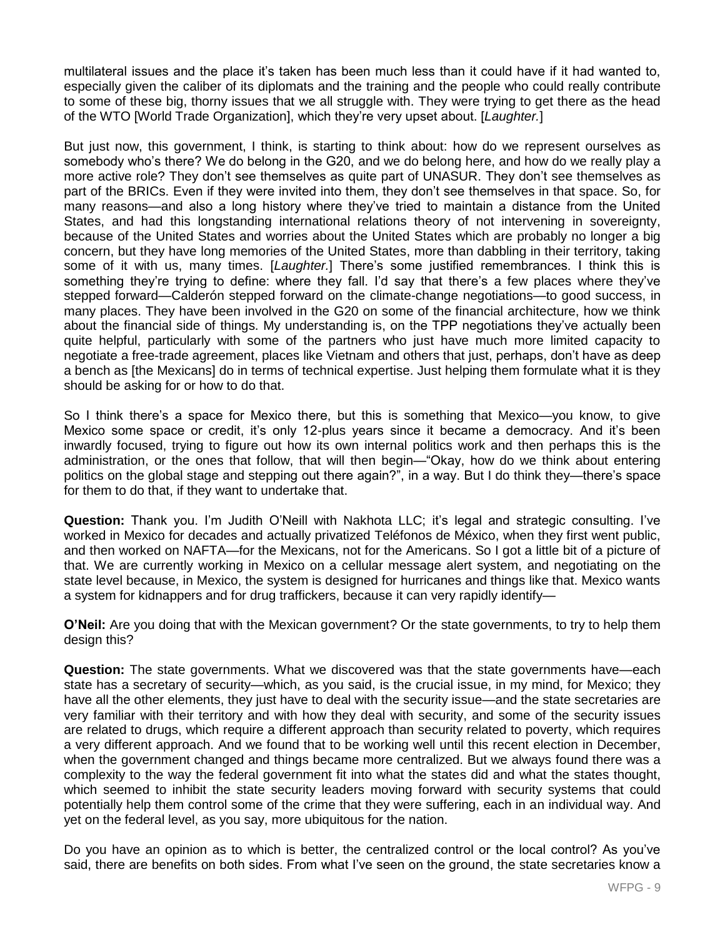multilateral issues and the place it's taken has been much less than it could have if it had wanted to, especially given the caliber of its diplomats and the training and the people who could really contribute to some of these big, thorny issues that we all struggle with. They were trying to get there as the head of the WTO [World Trade Organization], which they're very upset about. [*Laughter.*]

But just now, this government, I think, is starting to think about: how do we represent ourselves as somebody who's there? We do belong in the G20, and we do belong here, and how do we really play a more active role? They don't see themselves as quite part of UNASUR. They don't see themselves as part of the BRICs. Even if they were invited into them, they don't see themselves in that space. So, for many reasons—and also a long history where they've tried to maintain a distance from the United States, and had this longstanding international relations theory of not intervening in sovereignty, because of the United States and worries about the United States which are probably no longer a big concern, but they have long memories of the United States, more than dabbling in their territory, taking some of it with us, many times. [*Laughter.*] There's some justified remembrances. I think this is something they're trying to define: where they fall. I'd say that there's a few places where they've stepped forward—Calderón stepped forward on the climate-change negotiations—to good success, in many places. They have been involved in the G20 on some of the financial architecture, how we think about the financial side of things. My understanding is, on the TPP negotiations they've actually been quite helpful, particularly with some of the partners who just have much more limited capacity to negotiate a free-trade agreement, places like Vietnam and others that just, perhaps, don't have as deep a bench as [the Mexicans] do in terms of technical expertise. Just helping them formulate what it is they should be asking for or how to do that.

So I think there's a space for Mexico there, but this is something that Mexico—you know, to give Mexico some space or credit, it's only 12-plus years since it became a democracy. And it's been inwardly focused, trying to figure out how its own internal politics work and then perhaps this is the administration, or the ones that follow, that will then begin—"Okay, how do we think about entering politics on the global stage and stepping out there again?", in a way. But I do think they—there's space for them to do that, if they want to undertake that.

**Question:** Thank you. I'm Judith O'Neill with Nakhota LLC; it's legal and strategic consulting. I've worked in Mexico for decades and actually privatized Teléfonos de México, when they first went public, and then worked on NAFTA—for the Mexicans, not for the Americans. So I got a little bit of a picture of that. We are currently working in Mexico on a cellular message alert system, and negotiating on the state level because, in Mexico, the system is designed for hurricanes and things like that. Mexico wants a system for kidnappers and for drug traffickers, because it can very rapidly identify—

**O'Neil:** Are you doing that with the Mexican government? Or the state governments, to try to help them design this?

**Question:** The state governments. What we discovered was that the state governments have—each state has a secretary of security—which, as you said, is the crucial issue, in my mind, for Mexico; they have all the other elements, they just have to deal with the security issue—and the state secretaries are very familiar with their territory and with how they deal with security, and some of the security issues are related to drugs, which require a different approach than security related to poverty, which requires a very different approach. And we found that to be working well until this recent election in December, when the government changed and things became more centralized. But we always found there was a complexity to the way the federal government fit into what the states did and what the states thought, which seemed to inhibit the state security leaders moving forward with security systems that could potentially help them control some of the crime that they were suffering, each in an individual way. And yet on the federal level, as you say, more ubiquitous for the nation.

Do you have an opinion as to which is better, the centralized control or the local control? As you've said, there are benefits on both sides. From what I've seen on the ground, the state secretaries know a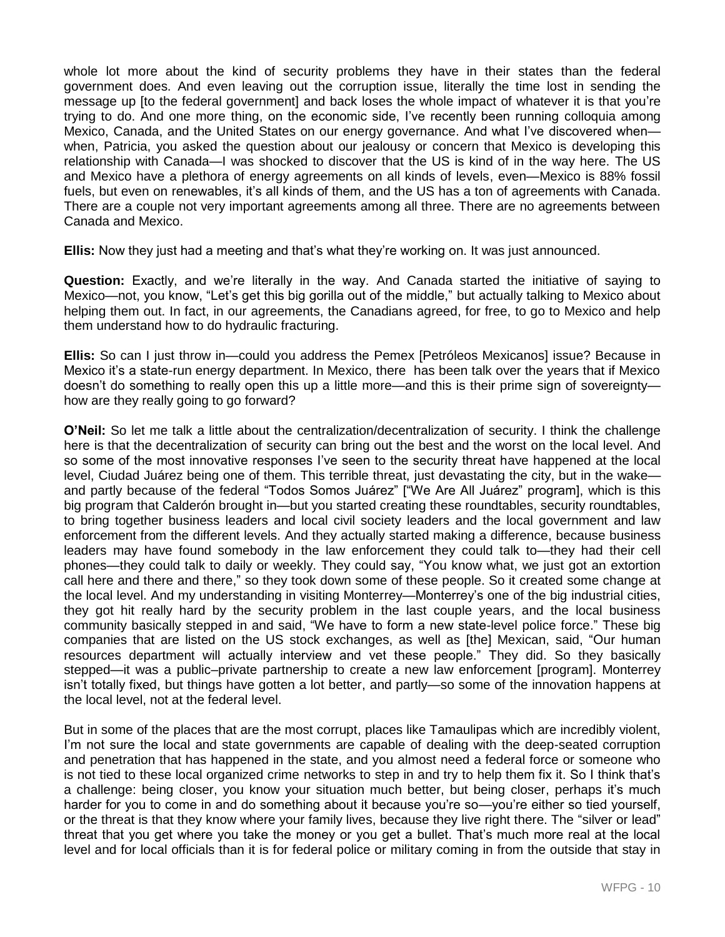whole lot more about the kind of security problems they have in their states than the federal government does. And even leaving out the corruption issue, literally the time lost in sending the message up [to the federal government] and back loses the whole impact of whatever it is that you're trying to do. And one more thing, on the economic side, I've recently been running colloquia among Mexico, Canada, and the United States on our energy governance. And what I've discovered when when, Patricia, you asked the question about our jealousy or concern that Mexico is developing this relationship with Canada—I was shocked to discover that the US is kind of in the way here. The US and Mexico have a plethora of energy agreements on all kinds of levels, even—Mexico is 88% fossil fuels, but even on renewables, it's all kinds of them, and the US has a ton of agreements with Canada. There are a couple not very important agreements among all three. There are no agreements between Canada and Mexico.

**Ellis:** Now they just had a meeting and that's what they're working on. It was just announced.

**Question:** Exactly, and we're literally in the way. And Canada started the initiative of saying to Mexico—not, you know, "Let's get this big gorilla out of the middle," but actually talking to Mexico about helping them out. In fact, in our agreements, the Canadians agreed, for free, to go to Mexico and help them understand how to do hydraulic fracturing.

**Ellis:** So can I just throw in—could you address the Pemex [Petróleos Mexicanos] issue? Because in Mexico it's a state-run energy department. In Mexico, there has been talk over the years that if Mexico doesn't do something to really open this up a little more—and this is their prime sign of sovereignty how are they really going to go forward?

**O'Neil:** So let me talk a little about the centralization/decentralization of security. I think the challenge here is that the decentralization of security can bring out the best and the worst on the local level. And so some of the most innovative responses I've seen to the security threat have happened at the local level, Ciudad Juárez being one of them. This terrible threat, just devastating the city, but in the wake and partly because of the federal "Todos Somos Juárez" ["We Are All Juárez" program], which is this big program that Calderón brought in—but you started creating these roundtables, security roundtables, to bring together business leaders and local civil society leaders and the local government and law enforcement from the different levels. And they actually started making a difference, because business leaders may have found somebody in the law enforcement they could talk to—they had their cell phones—they could talk to daily or weekly. They could say, "You know what, we just got an extortion call here and there and there," so they took down some of these people. So it created some change at the local level. And my understanding in visiting Monterrey—Monterrey's one of the big industrial cities, they got hit really hard by the security problem in the last couple years, and the local business community basically stepped in and said, "We have to form a new state-level police force." These big companies that are listed on the US stock exchanges, as well as [the] Mexican, said, "Our human resources department will actually interview and vet these people." They did. So they basically stepped—it was a public–private partnership to create a new law enforcement [program]. Monterrey isn't totally fixed, but things have gotten a lot better, and partly—so some of the innovation happens at the local level, not at the federal level.

But in some of the places that are the most corrupt, places like Tamaulipas which are incredibly violent, I'm not sure the local and state governments are capable of dealing with the deep-seated corruption and penetration that has happened in the state, and you almost need a federal force or someone who is not tied to these local organized crime networks to step in and try to help them fix it. So I think that's a challenge: being closer, you know your situation much better, but being closer, perhaps it's much harder for you to come in and do something about it because you're so—you're either so tied yourself, or the threat is that they know where your family lives, because they live right there. The "silver or lead" threat that you get where you take the money or you get a bullet. That's much more real at the local level and for local officials than it is for federal police or military coming in from the outside that stay in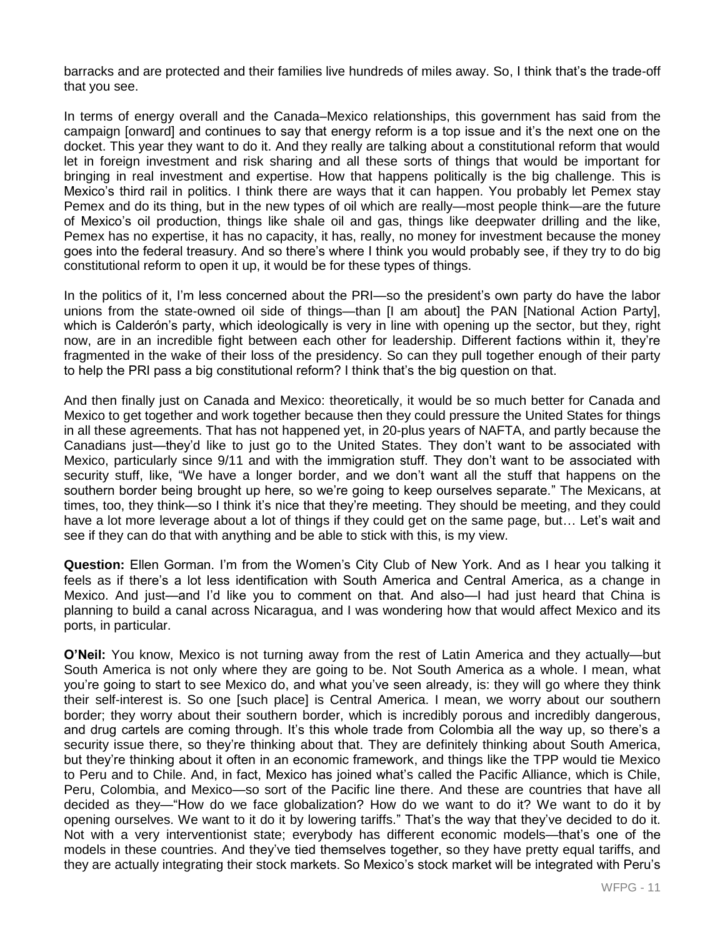barracks and are protected and their families live hundreds of miles away. So, I think that's the trade-off that you see.

In terms of energy overall and the Canada–Mexico relationships, this government has said from the campaign [onward] and continues to say that energy reform is a top issue and it's the next one on the docket. This year they want to do it. And they really are talking about a constitutional reform that would let in foreign investment and risk sharing and all these sorts of things that would be important for bringing in real investment and expertise. How that happens politically is the big challenge. This is Mexico's third rail in politics. I think there are ways that it can happen. You probably let Pemex stay Pemex and do its thing, but in the new types of oil which are really—most people think—are the future of Mexico's oil production, things like shale oil and gas, things like deepwater drilling and the like, Pemex has no expertise, it has no capacity, it has, really, no money for investment because the money goes into the federal treasury. And so there's where I think you would probably see, if they try to do big constitutional reform to open it up, it would be for these types of things.

In the politics of it, I'm less concerned about the PRI—so the president's own party do have the labor unions from the state-owned oil side of things—than [I am about] the PAN [National Action Party], which is Calderón's party, which ideologically is very in line with opening up the sector, but they, right now, are in an incredible fight between each other for leadership. Different factions within it, they're fragmented in the wake of their loss of the presidency. So can they pull together enough of their party to help the PRI pass a big constitutional reform? I think that's the big question on that.

And then finally just on Canada and Mexico: theoretically, it would be so much better for Canada and Mexico to get together and work together because then they could pressure the United States for things in all these agreements. That has not happened yet, in 20-plus years of NAFTA, and partly because the Canadians just—they'd like to just go to the United States. They don't want to be associated with Mexico, particularly since 9/11 and with the immigration stuff. They don't want to be associated with security stuff, like, "We have a longer border, and we don't want all the stuff that happens on the southern border being brought up here, so we're going to keep ourselves separate." The Mexicans, at times, too, they think—so I think it's nice that they're meeting. They should be meeting, and they could have a lot more leverage about a lot of things if they could get on the same page, but... Let's wait and see if they can do that with anything and be able to stick with this, is my view.

**Question:** Ellen Gorman. I'm from the Women's City Club of New York. And as I hear you talking it feels as if there's a lot less identification with South America and Central America, as a change in Mexico. And just—and I'd like you to comment on that. And also—I had just heard that China is planning to build a canal across Nicaragua, and I was wondering how that would affect Mexico and its ports, in particular.

**O'Neil:** You know, Mexico is not turning away from the rest of Latin America and they actually—but South America is not only where they are going to be. Not South America as a whole. I mean, what you're going to start to see Mexico do, and what you've seen already, is: they will go where they think their self-interest is. So one [such place] is Central America. I mean, we worry about our southern border; they worry about their southern border, which is incredibly porous and incredibly dangerous, and drug cartels are coming through. It's this whole trade from Colombia all the way up, so there's a security issue there, so they're thinking about that. They are definitely thinking about South America, but they're thinking about it often in an economic framework, and things like the TPP would tie Mexico to Peru and to Chile. And, in fact, Mexico has joined what's called the Pacific Alliance, which is Chile, Peru, Colombia, and Mexico—so sort of the Pacific line there. And these are countries that have all decided as they—"How do we face globalization? How do we want to do it? We want to do it by opening ourselves. We want to it do it by lowering tariffs." That's the way that they've decided to do it. Not with a very interventionist state; everybody has different economic models—that's one of the models in these countries. And they've tied themselves together, so they have pretty equal tariffs, and they are actually integrating their stock markets. So Mexico's stock market will be integrated with Peru's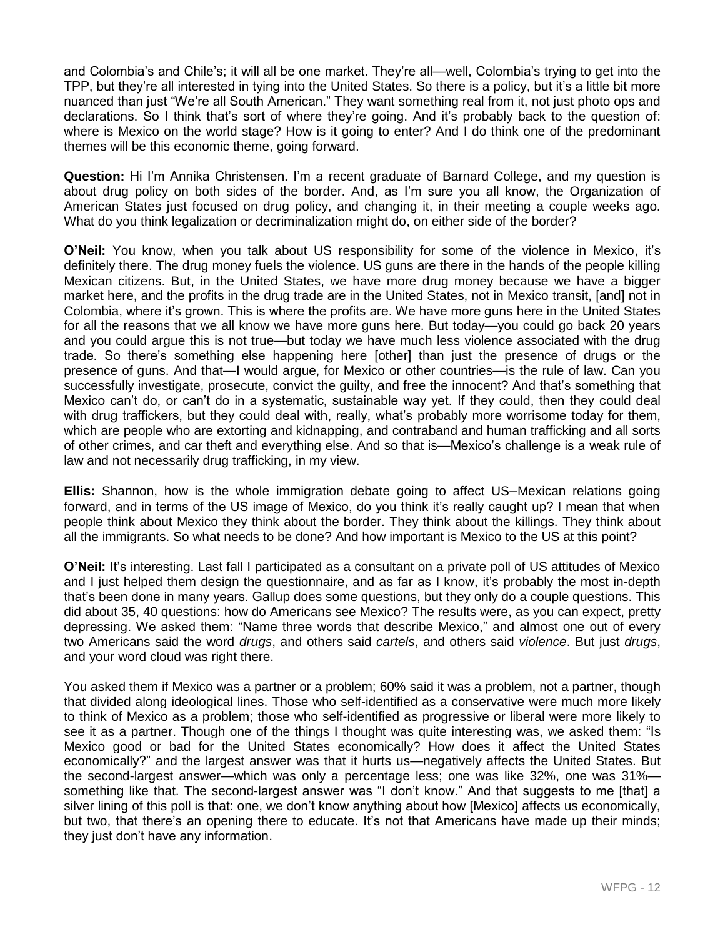and Colombia's and Chile's; it will all be one market. They're all—well, Colombia's trying to get into the TPP, but they're all interested in tying into the United States. So there is a policy, but it's a little bit more nuanced than just "We're all South American." They want something real from it, not just photo ops and declarations. So I think that's sort of where they're going. And it's probably back to the question of: where is Mexico on the world stage? How is it going to enter? And I do think one of the predominant themes will be this economic theme, going forward.

**Question:** Hi I'm Annika Christensen. I'm a recent graduate of Barnard College, and my question is about drug policy on both sides of the border. And, as I'm sure you all know, the Organization of American States just focused on drug policy, and changing it, in their meeting a couple weeks ago. What do you think legalization or decriminalization might do, on either side of the border?

**O'Neil:** You know, when you talk about US responsibility for some of the violence in Mexico, it's definitely there. The drug money fuels the violence. US guns are there in the hands of the people killing Mexican citizens. But, in the United States, we have more drug money because we have a bigger market here, and the profits in the drug trade are in the United States, not in Mexico transit, [and] not in Colombia, where it's grown. This is where the profits are. We have more guns here in the United States for all the reasons that we all know we have more guns here. But today—you could go back 20 years and you could argue this is not true—but today we have much less violence associated with the drug trade. So there's something else happening here [other] than just the presence of drugs or the presence of guns. And that—I would argue, for Mexico or other countries—is the rule of law. Can you successfully investigate, prosecute, convict the guilty, and free the innocent? And that's something that Mexico can't do, or can't do in a systematic, sustainable way yet. If they could, then they could deal with drug traffickers, but they could deal with, really, what's probably more worrisome today for them, which are people who are extorting and kidnapping, and contraband and human trafficking and all sorts of other crimes, and car theft and everything else. And so that is—Mexico's challenge is a weak rule of law and not necessarily drug trafficking, in my view.

**Ellis:** Shannon, how is the whole immigration debate going to affect US–Mexican relations going forward, and in terms of the US image of Mexico, do you think it's really caught up? I mean that when people think about Mexico they think about the border. They think about the killings. They think about all the immigrants. So what needs to be done? And how important is Mexico to the US at this point?

**O'Neil:** It's interesting. Last fall I participated as a consultant on a private poll of US attitudes of Mexico and I just helped them design the questionnaire, and as far as I know, it's probably the most in-depth that's been done in many years. Gallup does some questions, but they only do a couple questions. This did about 35, 40 questions: how do Americans see Mexico? The results were, as you can expect, pretty depressing. We asked them: "Name three words that describe Mexico," and almost one out of every two Americans said the word *drugs*, and others said *cartels*, and others said *violence*. But just *drugs*, and your word cloud was right there.

You asked them if Mexico was a partner or a problem; 60% said it was a problem, not a partner, though that divided along ideological lines. Those who self-identified as a conservative were much more likely to think of Mexico as a problem; those who self-identified as progressive or liberal were more likely to see it as a partner. Though one of the things I thought was quite interesting was, we asked them: "Is Mexico good or bad for the United States economically? How does it affect the United States economically?" and the largest answer was that it hurts us—negatively affects the United States. But the second-largest answer—which was only a percentage less; one was like 32%, one was 31% something like that. The second-largest answer was "I don't know." And that suggests to me [that] a silver lining of this poll is that: one, we don't know anything about how [Mexico] affects us economically, but two, that there's an opening there to educate. It's not that Americans have made up their minds; they just don't have any information.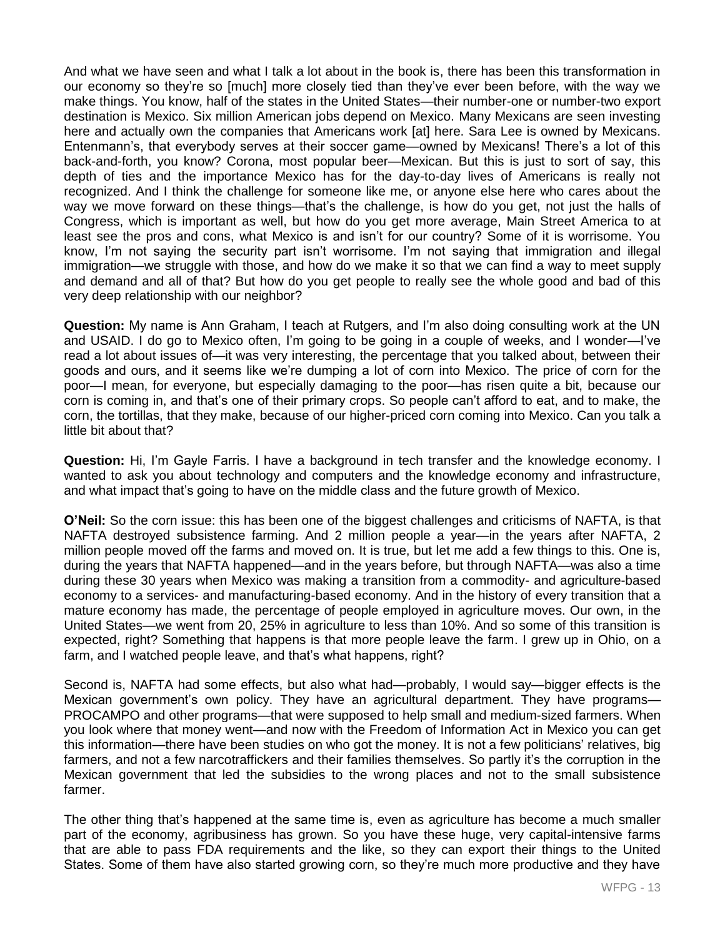And what we have seen and what I talk a lot about in the book is, there has been this transformation in our economy so they're so [much] more closely tied than they've ever been before, with the way we make things. You know, half of the states in the United States—their number-one or number-two export destination is Mexico. Six million American jobs depend on Mexico. Many Mexicans are seen investing here and actually own the companies that Americans work [at] here. Sara Lee is owned by Mexicans. Entenmann's, that everybody serves at their soccer game—owned by Mexicans! There's a lot of this back-and-forth, you know? Corona, most popular beer—Mexican. But this is just to sort of say, this depth of ties and the importance Mexico has for the day-to-day lives of Americans is really not recognized. And I think the challenge for someone like me, or anyone else here who cares about the way we move forward on these things—that's the challenge, is how do you get, not just the halls of Congress, which is important as well, but how do you get more average, Main Street America to at least see the pros and cons, what Mexico is and isn't for our country? Some of it is worrisome. You know, I'm not saying the security part isn't worrisome. I'm not saying that immigration and illegal immigration—we struggle with those, and how do we make it so that we can find a way to meet supply and demand and all of that? But how do you get people to really see the whole good and bad of this very deep relationship with our neighbor?

**Question:** My name is Ann Graham, I teach at Rutgers, and I'm also doing consulting work at the UN and USAID. I do go to Mexico often, I'm going to be going in a couple of weeks, and I wonder—I've read a lot about issues of—it was very interesting, the percentage that you talked about, between their goods and ours, and it seems like we're dumping a lot of corn into Mexico. The price of corn for the poor—I mean, for everyone, but especially damaging to the poor—has risen quite a bit, because our corn is coming in, and that's one of their primary crops. So people can't afford to eat, and to make, the corn, the tortillas, that they make, because of our higher-priced corn coming into Mexico. Can you talk a little bit about that?

**Question:** Hi, I'm Gayle Farris. I have a background in tech transfer and the knowledge economy. I wanted to ask you about technology and computers and the knowledge economy and infrastructure, and what impact that's going to have on the middle class and the future growth of Mexico.

**O'Neil:** So the corn issue: this has been one of the biggest challenges and criticisms of NAFTA, is that NAFTA destroyed subsistence farming. And 2 million people a year—in the years after NAFTA, 2 million people moved off the farms and moved on. It is true, but let me add a few things to this. One is, during the years that NAFTA happened—and in the years before, but through NAFTA—was also a time during these 30 years when Mexico was making a transition from a commodity- and agriculture-based economy to a services- and manufacturing-based economy. And in the history of every transition that a mature economy has made, the percentage of people employed in agriculture moves. Our own, in the United States—we went from 20, 25% in agriculture to less than 10%. And so some of this transition is expected, right? Something that happens is that more people leave the farm. I grew up in Ohio, on a farm, and I watched people leave, and that's what happens, right?

Second is, NAFTA had some effects, but also what had—probably, I would say—bigger effects is the Mexican government's own policy. They have an agricultural department. They have programs— PROCAMPO and other programs—that were supposed to help small and medium-sized farmers. When you look where that money went—and now with the Freedom of Information Act in Mexico you can get this information—there have been studies on who got the money. It is not a few politicians' relatives, big farmers, and not a few narcotraffickers and their families themselves. So partly it's the corruption in the Mexican government that led the subsidies to the wrong places and not to the small subsistence farmer.

The other thing that's happened at the same time is, even as agriculture has become a much smaller part of the economy, agribusiness has grown. So you have these huge, very capital-intensive farms that are able to pass FDA requirements and the like, so they can export their things to the United States. Some of them have also started growing corn, so they're much more productive and they have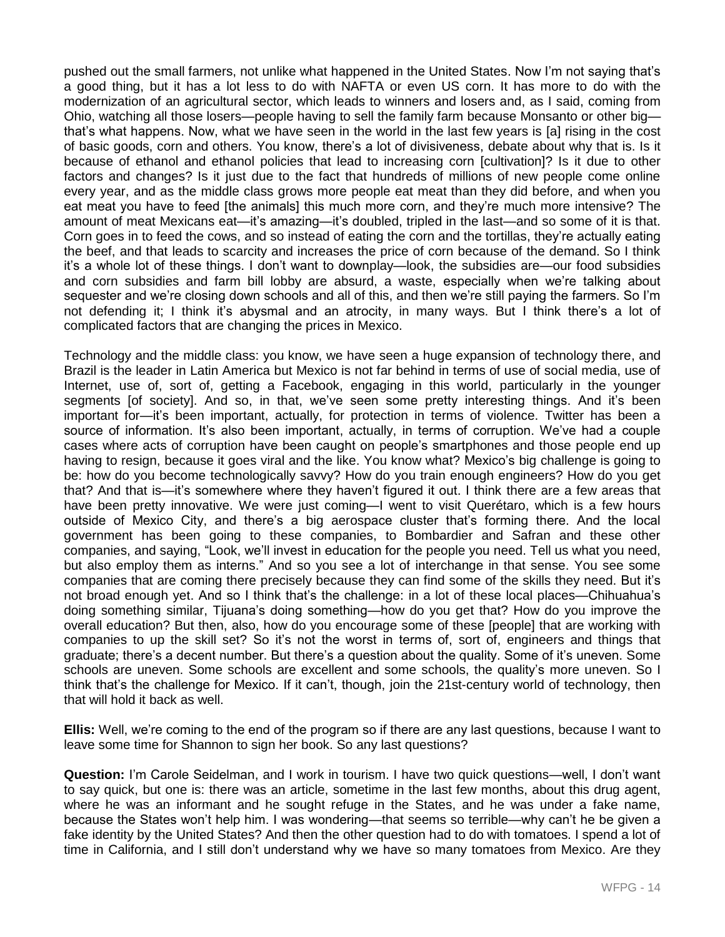pushed out the small farmers, not unlike what happened in the United States. Now I'm not saying that's a good thing, but it has a lot less to do with NAFTA or even US corn. It has more to do with the modernization of an agricultural sector, which leads to winners and losers and, as I said, coming from Ohio, watching all those losers—people having to sell the family farm because Monsanto or other big that's what happens. Now, what we have seen in the world in the last few years is [a] rising in the cost of basic goods, corn and others. You know, there's a lot of divisiveness, debate about why that is. Is it because of ethanol and ethanol policies that lead to increasing corn [cultivation]? Is it due to other factors and changes? Is it just due to the fact that hundreds of millions of new people come online every year, and as the middle class grows more people eat meat than they did before, and when you eat meat you have to feed [the animals] this much more corn, and they're much more intensive? The amount of meat Mexicans eat—it's amazing—it's doubled, tripled in the last—and so some of it is that. Corn goes in to feed the cows, and so instead of eating the corn and the tortillas, they're actually eating the beef, and that leads to scarcity and increases the price of corn because of the demand. So I think it's a whole lot of these things. I don't want to downplay—look, the subsidies are—our food subsidies and corn subsidies and farm bill lobby are absurd, a waste, especially when we're talking about sequester and we're closing down schools and all of this, and then we're still paying the farmers. So I'm not defending it; I think it's abysmal and an atrocity, in many ways. But I think there's a lot of complicated factors that are changing the prices in Mexico.

Technology and the middle class: you know, we have seen a huge expansion of technology there, and Brazil is the leader in Latin America but Mexico is not far behind in terms of use of social media, use of Internet, use of, sort of, getting a Facebook, engaging in this world, particularly in the younger segments [of society]. And so, in that, we've seen some pretty interesting things. And it's been important for—it's been important, actually, for protection in terms of violence. Twitter has been a source of information. It's also been important, actually, in terms of corruption. We've had a couple cases where acts of corruption have been caught on people's smartphones and those people end up having to resign, because it goes viral and the like. You know what? Mexico's big challenge is going to be: how do you become technologically savvy? How do you train enough engineers? How do you get that? And that is—it's somewhere where they haven't figured it out. I think there are a few areas that have been pretty innovative. We were just coming—I went to visit Querétaro, which is a few hours outside of Mexico City, and there's a big aerospace cluster that's forming there. And the local government has been going to these companies, to Bombardier and Safran and these other companies, and saying, "Look, we'll invest in education for the people you need. Tell us what you need, but also employ them as interns." And so you see a lot of interchange in that sense. You see some companies that are coming there precisely because they can find some of the skills they need. But it's not broad enough yet. And so I think that's the challenge: in a lot of these local places—Chihuahua's doing something similar, Tijuana's doing something—how do you get that? How do you improve the overall education? But then, also, how do you encourage some of these [people] that are working with companies to up the skill set? So it's not the worst in terms of, sort of, engineers and things that graduate; there's a decent number. But there's a question about the quality. Some of it's uneven. Some schools are uneven. Some schools are excellent and some schools, the quality's more uneven. So I think that's the challenge for Mexico. If it can't, though, join the 21st-century world of technology, then that will hold it back as well.

**Ellis:** Well, we're coming to the end of the program so if there are any last questions, because I want to leave some time for Shannon to sign her book. So any last questions?

**Question:** I'm Carole Seidelman, and I work in tourism. I have two quick questions—well, I don't want to say quick, but one is: there was an article, sometime in the last few months, about this drug agent, where he was an informant and he sought refuge in the States, and he was under a fake name, because the States won't help him. I was wondering—that seems so terrible—why can't he be given a fake identity by the United States? And then the other question had to do with tomatoes. I spend a lot of time in California, and I still don't understand why we have so many tomatoes from Mexico. Are they